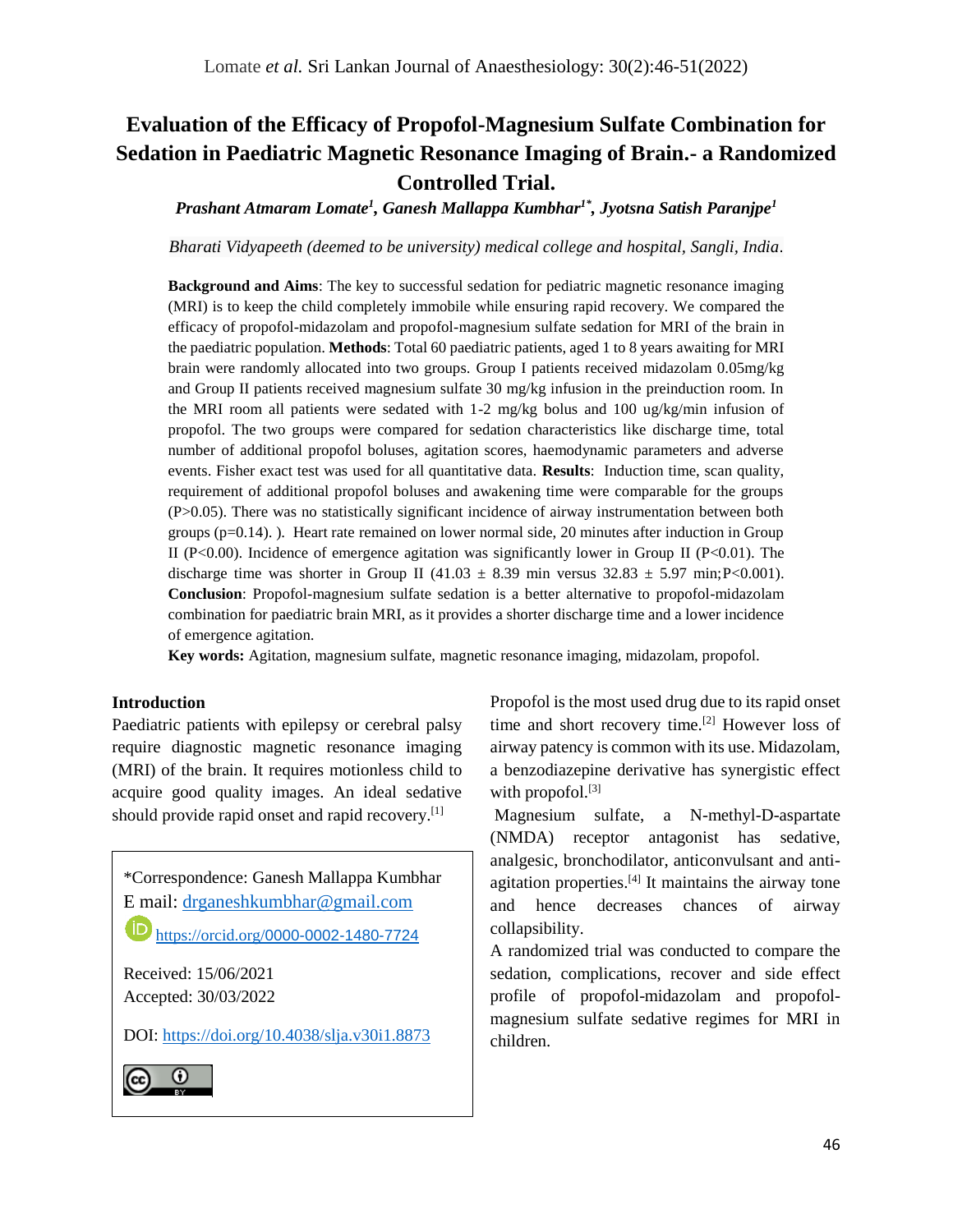# **Evaluation of the Efficacy of Propofol-Magnesium Sulfate Combination for Sedation in Paediatric Magnetic Resonance Imaging of Brain.- a Randomized Controlled Trial.**

*Prashant Atmaram Lomate<sup>1</sup> , Ganesh Mallappa Kumbhar1\* , Jyotsna Satish Paranjpe<sup>1</sup>*

*Bharati Vidyapeeth (deemed to be university) medical college and hospital, Sangli, India*.

**Background and Aims**: The key to successful sedation for pediatric magnetic resonance imaging (MRI) is to keep the child completely immobile while ensuring rapid recovery. We compared the efficacy of propofol-midazolam and propofol-magnesium sulfate sedation for MRI of the brain in the paediatric population. **Methods**: Total 60 paediatric patients, aged 1 to 8 years awaiting for MRI brain were randomly allocated into two groups. Group I patients received midazolam 0.05mg/kg and Group II patients received magnesium sulfate 30 mg/kg infusion in the preinduction room. In the MRI room all patients were sedated with 1-2 mg/kg bolus and 100 ug/kg/min infusion of propofol. The two groups were compared for sedation characteristics like discharge time, total number of additional propofol boluses, agitation scores, haemodynamic parameters and adverse events. Fisher exact test was used for all quantitative data. **Results**: Induction time, scan quality, requirement of additional propofol boluses and awakening time were comparable for the groups (P>0.05). There was no statistically significant incidence of airway instrumentation between both groups  $(p=0.14)$ . Heart rate remained on lower normal side, 20 minutes after induction in Group II (P<0.00). Incidence of emergence agitation was significantly lower in Group II (P<0.01). The discharge time was shorter in Group II (41.03  $\pm$  8.39 min versus 32.83  $\pm$  5.97 min; P<0.001). **Conclusion**: Propofol-magnesium sulfate sedation is a better alternative to propofol-midazolam combination for paediatric brain MRI, as it provides a shorter discharge time and a lower incidence of emergence agitation.

**Key words:** Agitation, magnesium sulfate, magnetic resonance imaging, midazolam, propofol.

# **Introduction**

Paediatric patients with epilepsy or cerebral palsy require diagnostic magnetic resonance imaging (MRI) of the brain. It requires motionless child to acquire good quality images. An ideal sedative should provide rapid onset and rapid recovery.[1]

\*Correspondence: Ganesh Mallappa Kumbhar E mail: [drganeshkumbhar@gmail.com](mailto:drganeshkumbhar@gmail.com) https://orcid.org/[0000-0002-1480-7724](https://orcid.org/0000-0002-1480-7724)

Received: 15/06/2021 Accepted: 30/03/2022

DOI:<https://doi.org/10.4038/slja.v30i1.8873>



Propofol is the most used drug due to its rapid onset time and short recovery time.[2] However loss of airway patency is common with its use. Midazolam, a benzodiazepine derivative has synergistic effect with propofol.<sup>[3]</sup>

Magnesium sulfate, a N-methyl-D-aspartate (NMDA) receptor antagonist has sedative, analgesic, bronchodilator, anticonvulsant and antiagitation properties.<sup>[4]</sup> It maintains the airway tone and hence decreases chances of airway collapsibility.

A randomized trial was conducted to compare the sedation, complications, recover and side effect profile of propofol-midazolam and propofolmagnesium sulfate sedative regimes for MRI in children.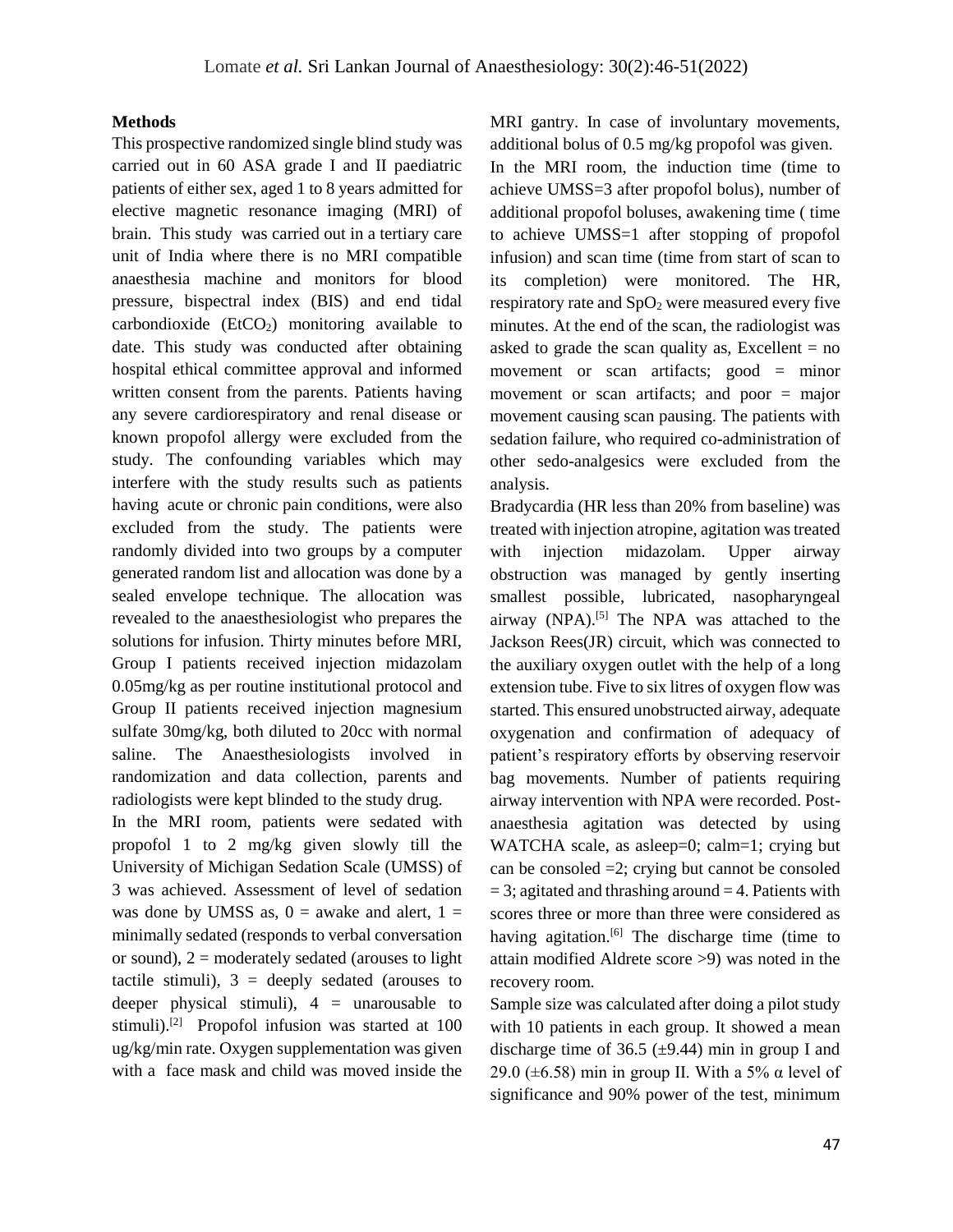#### **Methods**

This prospective randomized single blind study was carried out in 60 ASA grade I and II paediatric patients of either sex, aged 1 to 8 years admitted for elective magnetic resonance imaging (MRI) of brain. This study was carried out in a tertiary care unit of India where there is no MRI compatible anaesthesia machine and monitors for blood pressure, bispectral index (BIS) and end tidal carbondioxide  $(EtCO<sub>2</sub>)$  monitoring available to date. This study was conducted after obtaining hospital ethical committee approval and informed written consent from the parents. Patients having any severe cardiorespiratory and renal disease or known propofol allergy were excluded from the study. The confounding variables which may interfere with the study results such as patients having acute or chronic pain conditions, were also excluded from the study. The patients were randomly divided into two groups by a computer generated random list and allocation was done by a sealed envelope technique. The allocation was revealed to the anaesthesiologist who prepares the solutions for infusion. Thirty minutes before MRI, Group I patients received injection midazolam 0.05mg/kg as per routine institutional protocol and Group II patients received injection magnesium sulfate 30mg/kg, both diluted to 20cc with normal saline. The Anaesthesiologists involved in randomization and data collection, parents and radiologists were kept blinded to the study drug.

In the MRI room, patients were sedated with propofol 1 to 2 mg/kg given slowly till the University of Michigan Sedation Scale (UMSS) of 3 was achieved. Assessment of level of sedation was done by UMSS as,  $0 =$  awake and alert,  $1 =$ minimally sedated (responds to verbal conversation or sound),  $2 =$  moderately sedated (arouses to light tactile stimuli),  $3 =$  deeply sedated (arouses to deeper physical stimuli),  $4 =$  unarousable to stimuli).<sup>[2]</sup> Propofol infusion was started at 100 ug/kg/min rate. Oxygen supplementation was given with a face mask and child was moved inside the MRI gantry. In case of involuntary movements, additional bolus of 0.5 mg/kg propofol was given. In the MRI room, the induction time (time to achieve UMSS=3 after propofol bolus), number of additional propofol boluses, awakening time ( time to achieve UMSS=1 after stopping of propofol infusion) and scan time (time from start of scan to its completion) were monitored. The HR, respiratory rate and  $SpO<sub>2</sub>$  were measured every five minutes. At the end of the scan, the radiologist was asked to grade the scan quality as, Excellent  $=$  no movement or scan artifacts; good = minor movement or scan artifacts; and poor = major movement causing scan pausing. The patients with sedation failure, who required co-administration of other sedo-analgesics were excluded from the analysis.

Bradycardia (HR less than 20% from baseline) was treated with injection atropine, agitation was treated with injection midazolam. Upper airway obstruction was managed by gently inserting smallest possible, lubricated, nasopharyngeal airway (NPA).<sup>[5]</sup> The NPA was attached to the Jackson Rees(JR) circuit, which was connected to the auxiliary oxygen outlet with the help of a long extension tube. Five to six litres of oxygen flow was started. This ensured unobstructed airway, adequate oxygenation and confirmation of adequacy of patient's respiratory efforts by observing reservoir bag movements. Number of patients requiring airway intervention with NPA were recorded. Postanaesthesia agitation was detected by using WATCHA scale, as asleep=0; calm=1; crying but can be consoled =2; crying but cannot be consoled  $= 3$ ; agitated and thrashing around  $= 4$ . Patients with scores three or more than three were considered as having agitation.<sup>[6]</sup> The discharge time (time to attain modified Aldrete score >9) was noted in the recovery room.

Sample size was calculated after doing a pilot study with 10 patients in each group. It showed a mean discharge time of 36.5  $(\pm 9.44)$  min in group I and 29.0 ( $\pm$ 6.58) min in group II. With a 5% α level of significance and 90% power of the test, minimum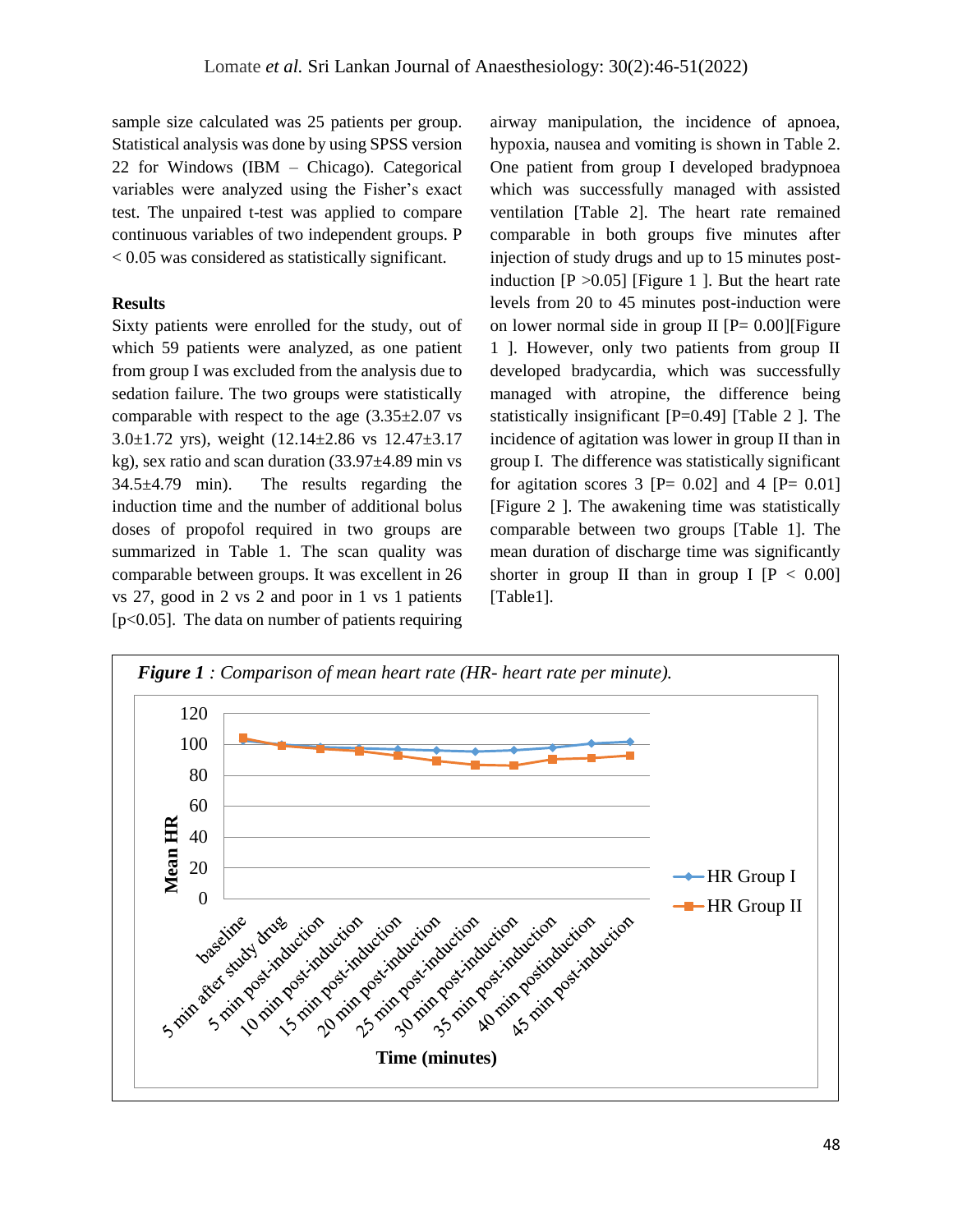sample size calculated was 25 patients per group. Statistical analysis was done by using SPSS version 22 for Windows (IBM – Chicago). Categorical variables were analyzed using the Fisher's exact test. The unpaired t-test was applied to compare continuous variables of two independent groups. P < 0.05 was considered as statistically significant.

# **Results**

Sixty patients were enrolled for the study, out of which 59 patients were analyzed, as one patient from group I was excluded from the analysis due to sedation failure. The two groups were statistically comparable with respect to the age  $(3.35\pm2.07 \text{ vs }$ 3.0 $\pm$ 1.72 yrs), weight (12.14 $\pm$ 2.86 vs 12.47 $\pm$ 3.17 kg), sex ratio and scan duration (33.97±4.89 min vs 34.5±4.79 min). The results regarding the induction time and the number of additional bolus doses of propofol required in two groups are summarized in Table 1. The scan quality was comparable between groups. It was excellent in 26 vs 27, good in 2 vs 2 and poor in 1 vs 1 patients  $[p<0.05]$ . The data on number of patients requiring airway manipulation, the incidence of apnoea, hypoxia, nausea and vomiting is shown in Table 2. One patient from group I developed bradypnoea which was successfully managed with assisted ventilation [Table 2]. The heart rate remained comparable in both groups five minutes after injection of study drugs and up to 15 minutes postinduction  $[P > 0.05]$  [Figure 1 ]. But the heart rate levels from 20 to 45 minutes post-induction were on lower normal side in group II  $[P= 0.00]$ [Figure 1 ]. However, only two patients from group II developed bradycardia, which was successfully managed with atropine, the difference being statistically insignificant [P=0.49] [Table 2 ]. The incidence of agitation was lower in group II than in group I. The difference was statistically significant for agitation scores 3  $[P = 0.02]$  and 4  $[P = 0.01]$ [Figure 2 ]. The awakening time was statistically comparable between two groups [Table 1]. The mean duration of discharge time was significantly shorter in group II than in group I  $[P < 0.00]$ [Table1].

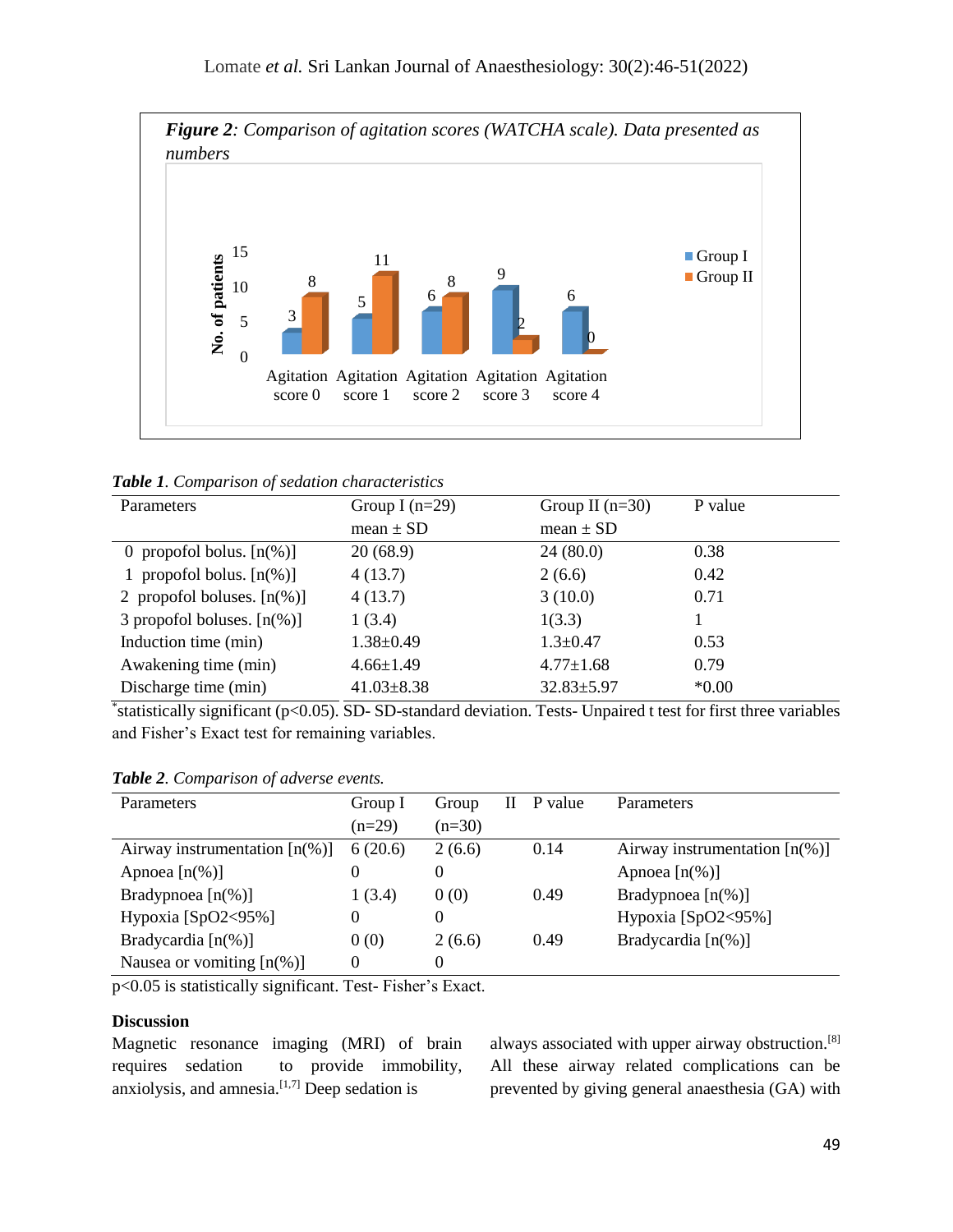

*Table 1. Comparison of sedation characteristics*

| Parameters                    | Group I $(n=29)$ | Group II $(n=30)$ | P value  |
|-------------------------------|------------------|-------------------|----------|
|                               | mean $\pm$ SD    | mean $\pm$ SD     |          |
| 0 propofol bolus. $[n(\%)]$   | 20(68.9)         | 24(80.0)          | 0.38     |
| 1 propofol bolus. $[n(\%)]$   | 4(13.7)          | 2(6.6)            | 0.42     |
| 2 propofol boluses. $[n(\%)]$ | 4(13.7)          | 3(10.0)           | 0.71     |
| 3 propofol boluses. $[n(\%)]$ | 1(3.4)           | 1(3.3)            |          |
| Induction time (min)          | $1.38 \pm 0.49$  | $1.3 \pm 0.47$    | 0.53     |
| Awakening time (min)          | $4.66 \pm 1.49$  | $4.77 \pm 1.68$   | 0.79     |
| Discharge time (min)          | $41.03 \pm 8.38$ | $32.83 \pm 5.97$  | $*0.00*$ |

\* statistically significant (p<0.05). SD- SD-standard deviation. Tests- Unpaired t test for first three variables and Fisher's Exact test for remaining variables.

| Parameters                       | Group I  | Group    | P value | <b>Parameters</b>                |
|----------------------------------|----------|----------|---------|----------------------------------|
|                                  | $(n=29)$ | $(n=30)$ |         |                                  |
| Airway instrumentation $[n(\%)]$ | 6(20.6)  | 2(6.6)   | 0.14    | Airway instrumentation $[n(\%)]$ |
| Apnoea $[n(\%)]$                 |          | 0        |         | Apnoea $[n(\%)]$                 |
| Bradypnoea $[n(\%)]$             | 1(3.4)   | 0(0)     | 0.49    | Bradypnoea $[n(\%)]$             |
| Hypoxia $[SpO2<95\%]$            | $\Omega$ | 0        |         | Hypoxia $[SpO2<95\%]$            |
| Bradycardia $[n(\%)]$            | 0(0)     | 2(6.6)   | 0.49    | Bradycardia $[n(\%)]$            |
| Nausea or vomiting $[n(\%)]$     | $\Omega$ | 0        |         |                                  |

*Table 2. Comparison of adverse events.*

p<0.05 is statistically significant. Test- Fisher's Exact.

### **Discussion**

Magnetic resonance imaging (MRI) of brain requires sedation to provide immobility, anxiolysis, and amnesia.<sup>[1,7]</sup> Deep sedation is

always associated with upper airway obstruction.[8] All these airway related complications can be prevented by giving general anaesthesia (GA) with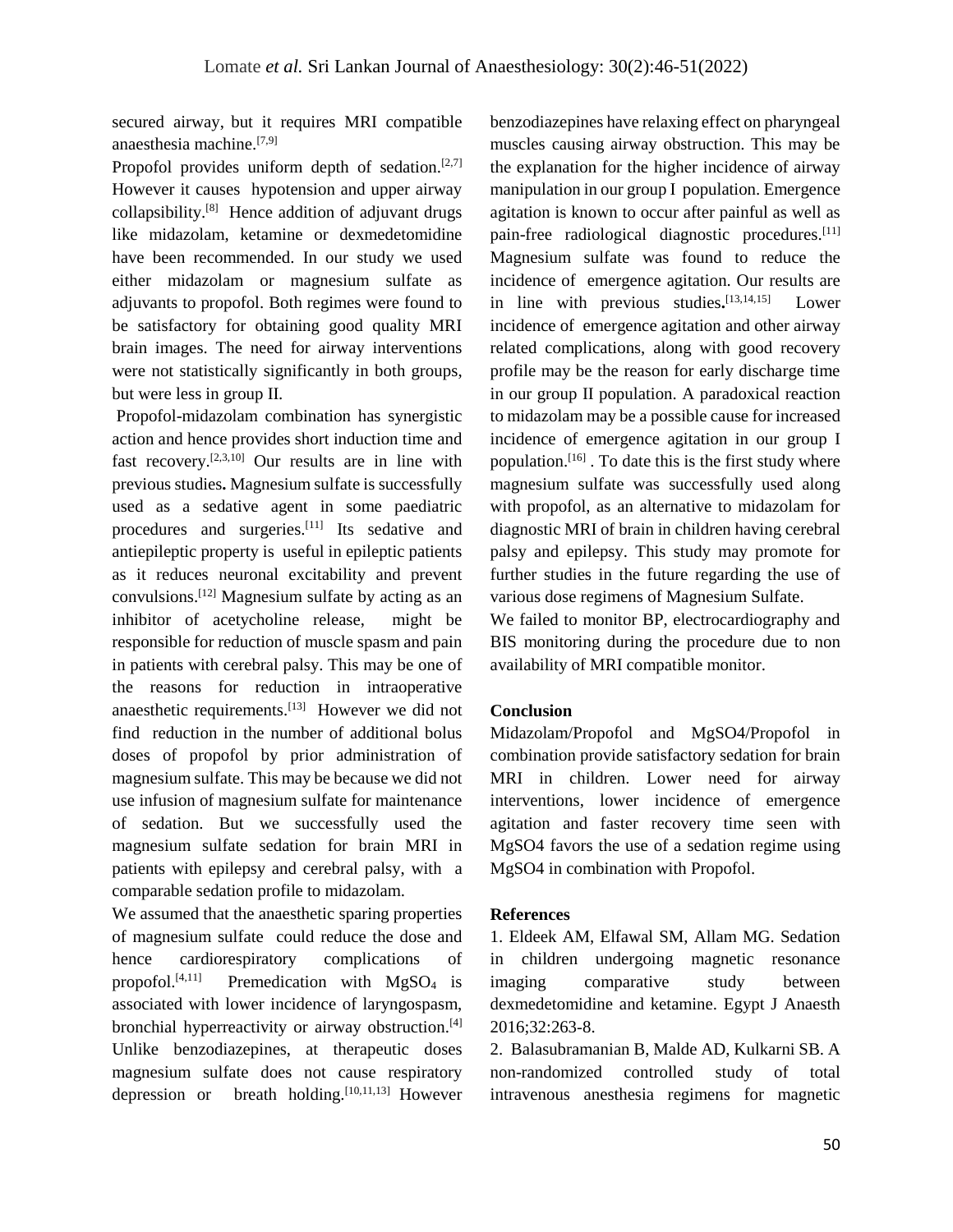secured airway, but it requires MRI compatible anaesthesia machine.[7,9]

Propofol provides uniform depth of sedation. $[2,7]$ However it causes hypotension and upper airway collapsibility.<sup>[8]</sup> Hence addition of adjuvant drugs like midazolam, ketamine or dexmedetomidine have been recommended. In our study we used either midazolam or magnesium sulfate as adjuvants to propofol. Both regimes were found to be satisfactory for obtaining good quality MRI brain images. The need for airway interventions were not statistically significantly in both groups, but were less in group II.

Propofol-midazolam combination has synergistic action and hence provides short induction time and fast recovery.[2,3,10] Our results are in line with previous studies**.** Magnesium sulfate is successfully used as a sedative agent in some paediatric procedures and surgeries.<sup>[11]</sup> Its sedative and antiepileptic property is useful in epileptic patients as it reduces neuronal excitability and prevent convulsions.[12] Magnesium sulfate by acting as an inhibitor of acetycholine release, might be responsible for reduction of muscle spasm and pain in patients with cerebral palsy. This may be one of the reasons for reduction in intraoperative anaesthetic requirements.<sup>[13]</sup> However we did not find reduction in the number of additional bolus doses of propofol by prior administration of magnesium sulfate. This may be because we did not use infusion of magnesium sulfate for maintenance of sedation. But we successfully used the magnesium sulfate sedation for brain MRI in patients with epilepsy and cerebral palsy, with a comparable sedation profile to midazolam.

We assumed that the anaesthetic sparing properties of magnesium sulfate could reduce the dose and hence cardiorespiratory complications of propofol.<sup>[4,11]</sup> Premedication with  $MgSO<sub>4</sub>$  is associated with lower incidence of laryngospasm, bronchial hyperreactivity or airway obstruction.<sup>[4]</sup> Unlike benzodiazepines, at therapeutic doses magnesium sulfate does not cause respiratory depression or breath holding.  $[10,11,13]$  However

benzodiazepines have relaxing effect on pharyngeal muscles causing airway obstruction. This may be the explanation for the higher incidence of airway manipulation in our group I population. Emergence agitation is known to occur after painful as well as pain-free radiological diagnostic procedures.<sup>[11]</sup> Magnesium sulfate was found to reduce the incidence of emergence agitation. Our results are in line with previous studies**.** [13,14,15] Lower incidence of emergence agitation and other airway related complications, along with good recovery profile may be the reason for early discharge time in our group II population. A paradoxical reaction to midazolam may be a possible cause for increased incidence of emergence agitation in our group I population.[16] . To date this is the first study where magnesium sulfate was successfully used along with propofol, as an alternative to midazolam for diagnostic MRI of brain in children having cerebral palsy and epilepsy. This study may promote for further studies in the future regarding the use of various dose regimens of Magnesium Sulfate. We failed to monitor BP, electrocardiography and

BIS monitoring during the procedure due to non availability of MRI compatible monitor.

# **Conclusion**

Midazolam/Propofol and MgSO4/Propofol in combination provide satisfactory sedation for brain MRI in children. Lower need for airway interventions, lower incidence of emergence agitation and faster recovery time seen with MgSO4 favors the use of a sedation regime using MgSO4 in combination with Propofol.

# **References**

1. Eldeek AM, Elfawal SM, Allam MG. Sedation in children undergoing magnetic resonance imaging comparative study between dexmedetomidine and ketamine. Egypt J Anaesth 2016;32:263‑8.

2. Balasubramanian B, Malde AD, Kulkarni SB. A non-randomized controlled study of total intravenous anesthesia regimens for magnetic